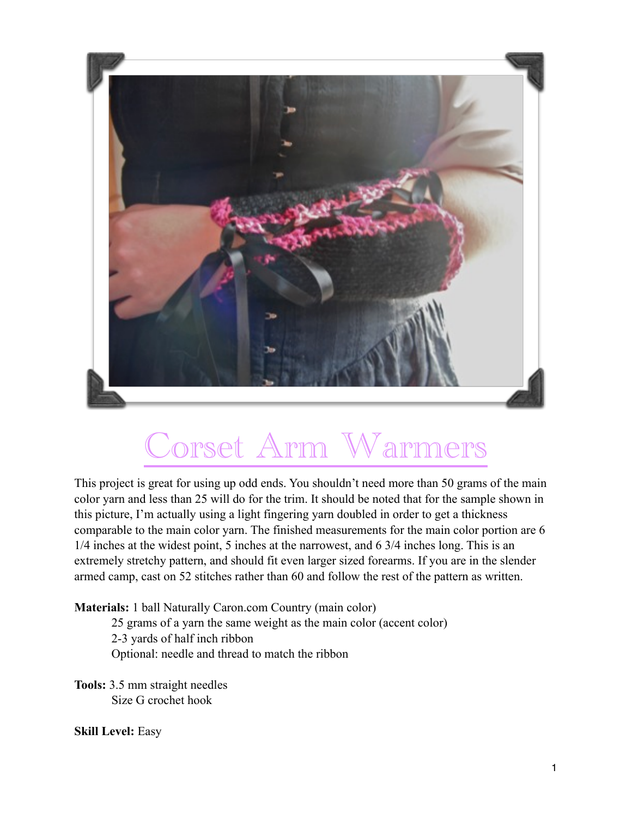

## Corset Arm Warmers

This project is great for using up odd ends. You shouldn't need more than 50 grams of the main color yarn and less than 25 will do for the trim. It should be noted that for the sample shown in this picture, I'm actually using a light fingering yarn doubled in order to get a thickness comparable to the main color yarn. The finished measurements for the main color portion are 6 1/4 inches at the widest point, 5 inches at the narrowest, and 6 3/4 inches long. This is an extremely stretchy pattern, and should fit even larger sized forearms. If you are in the slender armed camp, cast on 52 stitches rather than 60 and follow the rest of the pattern as written.

**Materials:** 1 ball Naturally Caron.com Country (main color)

 25 grams of a yarn the same weight as the main color (accent color) 2-3 yards of half inch ribbon Optional: needle and thread to match the ribbon

**Tools:** 3.5 mm straight needles Size G crochet hook

**Skill Level:** Easy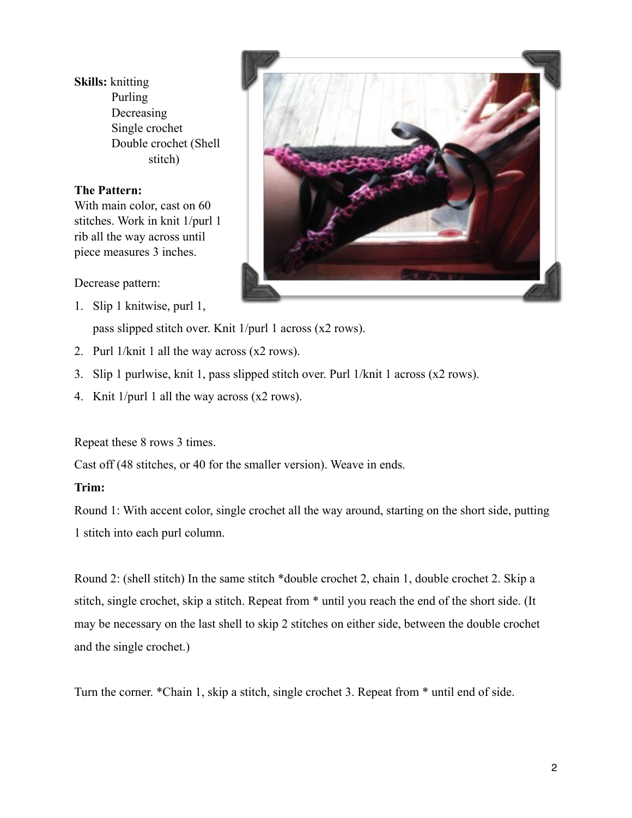**Skills:** knitting Purling Decreasing Single crochet Double crochet (Shell stitch)

## **The Pattern:**

With main color, cast on 60 stitches. Work in knit 1/purl 1 rib all the way across until piece measures 3 inches.

Decrease pattern:

1. Slip 1 knitwise, purl 1,

pass slipped stitch over. Knit 1/purl 1 across (x2 rows).

- 2. Purl 1/knit 1 all the way across (x2 rows).
- 3. Slip 1 purlwise, knit 1, pass slipped stitch over. Purl 1/knit 1 across (x2 rows).
- 4. Knit 1/purl 1 all the way across (x2 rows).

Repeat these 8 rows 3 times.

Cast off (48 stitches, or 40 for the smaller version). Weave in ends.

## **Trim:**

Round 1: With accent color, single crochet all the way around, starting on the short side, putting 1 stitch into each purl column.

Round 2: (shell stitch) In the same stitch \*double crochet 2, chain 1, double crochet 2. Skip a stitch, single crochet, skip a stitch. Repeat from \* until you reach the end of the short side. (It may be necessary on the last shell to skip 2 stitches on either side, between the double crochet and the single crochet.)

Turn the corner. \*Chain 1, skip a stitch, single crochet 3. Repeat from \* until end of side.